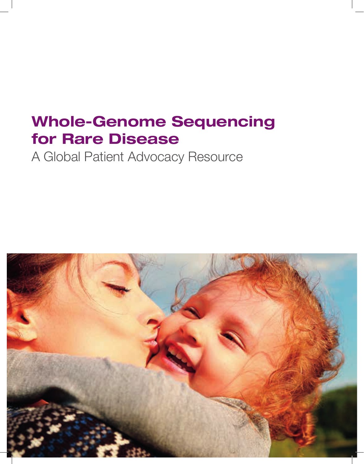# Whole-Genome Sequencing for Rare Disease

A Global Patient Advocacy Resource

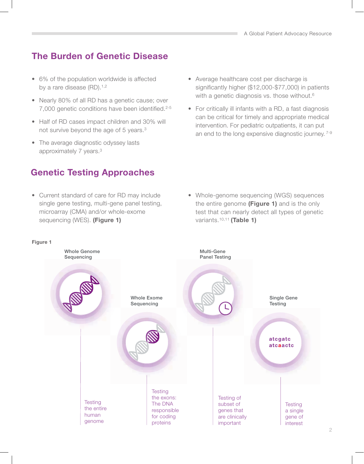## The Burden of Genetic Disease

- 6% of the population worldwide is affected by a rare disease (RD).<sup>1,2</sup>
- Nearly 80% of all RD has a genetic cause; over 7,000 genetic conditions have been identified.<sup>2-5</sup>
- Half of RD cases impact children and 30% will not survive beyond the age of 5 years.3
- The average diagnostic odyssey lasts approximately 7 years.3

## Genetic Testing Approaches

• Current standard of care for RD may include single gene testing, multi-gene panel testing, microarray (CMA) and/or whole-exome sequencing (WES). (Figure 1)

- Average healthcare cost per discharge is significantly higher  $(\$12,000-\$77,000)$  in patients with a genetic diagnosis vs. those without.<sup>6</sup>
- For critically ill infants with a RD, a fast diagnosis can be critical for timely and appropriate medical intervention. For pediatric outpatients, it can put an end to the long expensive diagnostic journey. 7-9

• Whole-genome sequencing (WGS) sequences the entire genome (Figure 1) and is the only test that can nearly detect all types of genetic variants.<sup>10,11</sup> (Table 1)

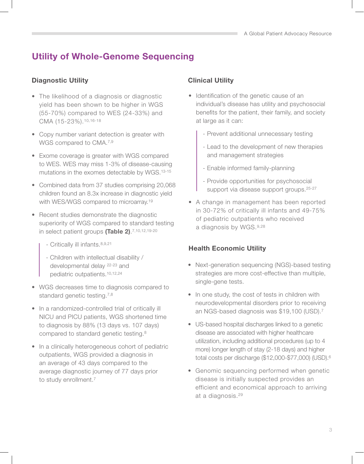# Utility of Whole-Genome Sequencing

### Diagnostic Utility

- The likelihood of a diagnosis or diagnostic yield has been shown to be higher in WGS (55-70%) compared to WES (24-33%) and CMA (15-23%).10,16-18
- Copy number variant detection is greater with WGS compared to CMA.7,9
- Exome coverage is greater with WGS compared to WES. WES may miss 1-3% of disease-causing mutations in the exomes detectable by WGS.13-15
- Combined data from 37 studies comprising 20,068 children found an 8.3x increase in diagnostic yield with WES/WGS compared to microarray.19
- Recent studies demonstrate the diagnostic superiority of WGS compared to standard testing in select patient groups (Table 2).<sup>7,10,12,19-20</sup>
	- Critically ill infants.8,9,21
	- Children with intellectual disability / developmental delay 22-23 and pediatric outpatients.10,12,24
- WGS decreases time to diagnosis compared to standard genetic testing.<sup>7,8</sup>
- In a randomized-controlled trial of critically ill NICU and PICU patients, WGS shortened time to diagnosis by 88% (13 days vs. 107 days) compared to standard genetic testing.8
- In a clinically heterogeneous cohort of pediatric outpatients, WGS provided a diagnosis in an average of 43 days compared to the average diagnostic journey of 77 days prior to study enrollment.<sup>7</sup>

### Clinical Utility

- Identification of the genetic cause of an individual's disease has utility and psychosocial benefits for the patient, their family, and society at large as it can:
	- Prevent additional unnecessary testing
	- Lead to the development of new therapies and management strategies
	- Enable informed family-planning
	- Provide opportunities for psychosocial support via disease support groups.25-27
- A change in management has been reported in 30-72% of critically ill infants and 49-75% of pediatric outpatients who received a diagnosis by WGS.9,28

### Health Economic Utility

- Next-generation sequencing (NGS)-based testing strategies are more cost-effective than multiple, single-gene tests.
- In one study, the cost of tests in children with neurodevelopmental disorders prior to receiving an NGS-based diagnosis was \$19,100 (USD).7
- US-based hospital discharges linked to a genetic disease are associated with higher healthcare utilization, including additional procedures (up to 4 more) longer length of stay (2-18 days) and higher total costs per discharge (\$12,000-\$77,000) (USD).6
- Genomic sequencing performed when genetic disease is initially suspected provides an efficient and economical approach to arriving at a diagnosis.29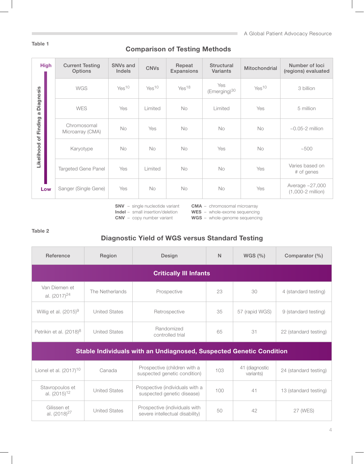#### Table 1

#### Comparison of Testing Methods

| <b>High</b>                                                           | <b>Current Testing</b><br>Options | SNV <sub>s</sub> and<br><b>Indels</b> | <b>CNVs</b>       | Repeat<br><b>Expansions</b> | <b>Structural</b><br><b>Variants</b> | Mitochondrial     | Number of loci<br>(regions) evaluated                |
|-----------------------------------------------------------------------|-----------------------------------|---------------------------------------|-------------------|-----------------------------|--------------------------------------|-------------------|------------------------------------------------------|
| Diagnosis<br>$\sigma$<br>Finding<br>$\overline{\sigma}$<br>Likelihood | <b>WGS</b>                        | Yes <sup>10</sup>                     | Yes <sup>10</sup> | Yes <sup>18</sup>           | Yes<br>(Emerging) <sup>30</sup>      | Yes <sup>10</sup> | 3 billion                                            |
|                                                                       | <b>WES</b>                        | Yes                                   | Limited           | No                          | Limited                              | Yes               | 5 million                                            |
|                                                                       | Chromosomal<br>Microarray (CMA)   | No                                    | Yes               | <b>No</b>                   | <b>No</b>                            | <b>No</b>         | $\sim 0.05 - 2$ million                              |
|                                                                       | Karyotype                         | No                                    | <b>No</b>         | <b>No</b>                   | Yes                                  | <b>No</b>         | ~100                                                 |
|                                                                       | <b>Targeted Gene Panel</b>        | Yes                                   | Limited           | <b>No</b>                   | <b>No</b>                            | Yes               | Varies based on<br># of genes                        |
| Low                                                                   | Sanger (Single Gene)              | Yes                                   | <b>No</b>         | <b>No</b>                   | <b>No</b>                            | Yes               | Average $\sim$ 27,000<br>$(1,000-2 \text{ million})$ |

SNV – single nucleotide variant

CMA – chromosomal microarray

Indel – small insertion/deletion CNV – copy number variant

WES - whole-exome sequencing

WGS - whole-genome sequencing

#### Table 2

### Diagnostic Yield of WGS versus Standard Testing

| Reference                                                                  | Region               | Design                                                           | N   | WGS $(\%)$                  | Comparator (%)        |  |  |  |  |  |
|----------------------------------------------------------------------------|----------------------|------------------------------------------------------------------|-----|-----------------------------|-----------------------|--|--|--|--|--|
| <b>Critically III Infants</b>                                              |                      |                                                                  |     |                             |                       |  |  |  |  |  |
| Van Diemen et<br>al. (2017) <sup>24</sup>                                  | The Netherlands      | Prospective                                                      | 23  | 30                          | 4 (standard testing)  |  |  |  |  |  |
| Willig et al. $(2015)^9$                                                   | <b>United States</b> | Retrospective                                                    | 35  | 57 (rapid WGS)              | 9 (standard testing)  |  |  |  |  |  |
| Petrikin et al. (2018) <sup>8</sup>                                        | <b>United States</b> | Randomized<br>controlled trial                                   | 65  | 31                          | 22 (standard testing) |  |  |  |  |  |
| <b>Stable Individuals with an Undiagnosed, Suspected Genetic Condition</b> |                      |                                                                  |     |                             |                       |  |  |  |  |  |
| Lionel et al. $(2017)^{10}$                                                | Canada               | Prospective (children with a<br>suspected genetic condition)     | 103 | 41 (diagnostic<br>variants) | 24 (standard testing) |  |  |  |  |  |
| Stavropoulos et<br>al. $(2015)^{12}$                                       | <b>United States</b> | Prospective (individuals with a<br>suspected genetic disease)    | 100 | 41                          | 13 (standard testing) |  |  |  |  |  |
| Gilissen et<br>al. (2018) <sup>27</sup>                                    | <b>United States</b> | Prospective (individuals with<br>severe intellectual disability) | 50  | 42                          | 27 (WES)              |  |  |  |  |  |